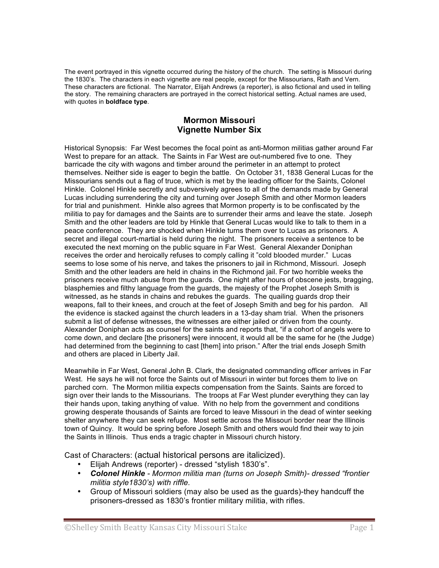The event portrayed in this vignette occurred during the history of the church. The setting is Missouri during the 1830's. The characters in each vignette are real people, except for the Missourians, Rath and Vern. These characters are fictional. The Narrator, Elijah Andrews (a reporter), is also fictional and used in telling the story. The remaining characters are portrayed in the correct historical setting. Actual names are used, with quotes in **boldface type**.

# **Mormon Missouri Vignette Number Six**

Historical Synopsis: Far West becomes the focal point as anti-Mormon militias gather around Far West to prepare for an attack. The Saints in Far West are out-numbered five to one. They barricade the city with wagons and timber around the perimeter in an attempt to protect themselves. Neither side is eager to begin the battle. On October 31, 1838 General Lucas for the Missourians sends out a flag of truce, which is met by the leading officer for the Saints, Colonel Hinkle. Colonel Hinkle secretly and subversively agrees to all of the demands made by General Lucas including surrendering the city and turning over Joseph Smith and other Mormon leaders for trial and punishment. Hinkle also agrees that Mormon property is to be confiscated by the militia to pay for damages and the Saints are to surrender their arms and leave the state. Joseph Smith and the other leaders are told by Hinkle that General Lucas would like to talk to them in a peace conference. They are shocked when Hinkle turns them over to Lucas as prisoners. A secret and illegal court-martial is held during the night. The prisoners receive a sentence to be executed the next morning on the public square in Far West. General Alexander Doniphan receives the order and heroically refuses to comply calling it "cold blooded murder." Lucas seems to lose some of his nerve, and takes the prisoners to jail in Richmond, Missouri. Joseph Smith and the other leaders are held in chains in the Richmond jail. For two horrible weeks the prisoners receive much abuse from the guards. One night after hours of obscene jests, bragging, blasphemies and filthy language from the guards, the majesty of the Prophet Joseph Smith is witnessed, as he stands in chains and rebukes the guards. The quailing guards drop their weapons, fall to their knees, and crouch at the feet of Joseph Smith and beg for his pardon. All the evidence is stacked against the church leaders in a 13-day sham trial. When the prisoners submit a list of defense witnesses, the witnesses are either jailed or driven from the county. Alexander Doniphan acts as counsel for the saints and reports that, "if a cohort of angels were to come down, and declare [the prisoners] were innocent, it would all be the same for he (the Judge) had determined from the beginning to cast [them] into prison." After the trial ends Joseph Smith and others are placed in Liberty Jail.

Meanwhile in Far West, General John B. Clark, the designated commanding officer arrives in Far West. He says he will not force the Saints out of Missouri in winter but forces them to live on parched corn. The Mormon militia expects compensation from the Saints. Saints are forced to sign over their lands to the Missourians. The troops at Far West plunder everything they can lay their hands upon, taking anything of value. With no help from the government and conditions growing desperate thousands of Saints are forced to leave Missouri in the dead of winter seeking shelter anywhere they can seek refuge. Most settle across the Missouri border near the Illinois town of Quincy. It would be spring before Joseph Smith and others would find their way to join the Saints in Illinois. Thus ends a tragic chapter in Missouri church history.

Cast of Characters: (actual historical persons are italicized).

- Elijah Andrews (reporter) dressed "stylish 1830's".
- *Colonel Hinkle Mormon militia man (turns on Joseph Smith)- dressed "frontier militia style1830's) with riffle.*
- Group of Missouri soldiers (may also be used as the guards)-they handcuff the prisoners-dressed as 1830's frontier military militia, with rifles.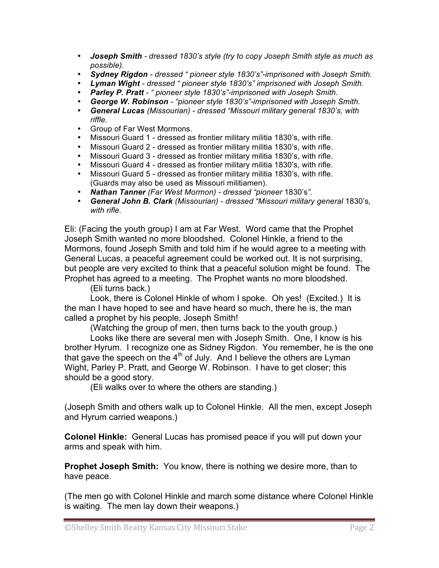- *Joseph Smith dressed 1830's style (try to copy Joseph Smith style as much as possible).*
- *Sydney Rigdon dressed " pioneer style 1830's"-imprisoned with Joseph Smith.*
- *Lyman Wight dressed " pioneer style 1830's" imprisoned with Joseph Smith.*
- *Parley P. Pratt " pioneer style 1830's"-imprisoned with Joseph Smith.*
- *George W. Robinson "pioneer style 1830's"-imprisoned with Joseph Smith.*
- *General Lucas (Missourian) dressed "Missouri military general 1830's, with riffle.*
- Group of Far West Mormons.
- Missouri Guard 1 dressed as frontier military militia 1830's, with rifle.
- Missouri Guard 2 dressed as frontier military militia 1830's, with rifle.
- Missouri Guard 3 dressed as frontier military militia 1830's, with rifle.
- Missouri Guard 4 dressed as frontier military militia 1830's, with rifle.
- Missouri Guard 5 dressed as frontier military militia 1830's, with rifle. (Guards may also be used as Missouri militiamen).
- *Nathan Tanner (Far West Mormon) dressed "pioneer* 1830's*".*
- *General John B. Clark (Missourian) dressed "Missouri military general* 1830's*, with rifle.*

Eli: (Facing the youth group) I am at Far West. Word came that the Prophet Joseph Smith wanted no more bloodshed. Colonel Hinkle, a friend to the Mormons, found Joseph Smith and told him if he would agree to a meeting with General Lucas, a peaceful agreement could be worked out. It is not surprising, but people are very excited to think that a peaceful solution might be found. The Prophet has agreed to a meeting. The Prophet wants no more bloodshed.

(Eli turns back.)

Look, there is Colonel Hinkle of whom I spoke. Oh yes! (Excited.) It is the man I have hoped to see and have heard so much, there he is, the man called a prophet by his people, Joseph Smith!

(Watching the group of men, then turns back to the youth group.)

Looks like there are several men with Joseph Smith. One, I know is his brother Hyrum. I recognize one as Sidney Rigdon. You remember, he is the one that gave the speech on the  $4<sup>th</sup>$  of July. And I believe the others are Lyman Wight, Parley P. Pratt, and George W. Robinson. I have to get closer; this should be a good story.

(Eli walks over to where the others are standing.)

(Joseph Smith and others walk up to Colonel Hinkle. All the men, except Joseph and Hyrum carried weapons.)

**Colonel Hinkle:** General Lucas has promised peace if you will put down your arms and speak with him.

**Prophet Joseph Smith:** You know, there is nothing we desire more, than to have peace.

(The men go with Colonel Hinkle and march some distance where Colonel Hinkle is waiting. The men lay down their weapons.)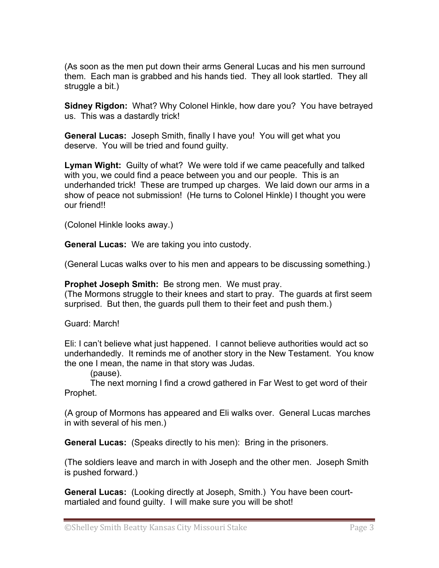(As soon as the men put down their arms General Lucas and his men surround them. Each man is grabbed and his hands tied. They all look startled. They all struggle a bit.)

**Sidney Rigdon:** What? Why Colonel Hinkle, how dare you? You have betrayed us. This was a dastardly trick!

**General Lucas:** Joseph Smith, finally I have you! You will get what you deserve. You will be tried and found guilty.

**Lyman Wight:** Guilty of what? We were told if we came peacefully and talked with you, we could find a peace between you and our people. This is an underhanded trick! These are trumped up charges. We laid down our arms in a show of peace not submission! (He turns to Colonel Hinkle) I thought you were our friend!!

(Colonel Hinkle looks away.)

**General Lucas:** We are taking you into custody.

(General Lucas walks over to his men and appears to be discussing something.)

**Prophet Joseph Smith:** Be strong men. We must pray.

(The Mormons struggle to their knees and start to pray. The guards at first seem surprised. But then, the guards pull them to their feet and push them.)

Guard: March!

Eli: I can't believe what just happened. I cannot believe authorities would act so underhandedly. It reminds me of another story in the New Testament. You know the one I mean, the name in that story was Judas.

(pause).

The next morning I find a crowd gathered in Far West to get word of their Prophet.

(A group of Mormons has appeared and Eli walks over. General Lucas marches in with several of his men.)

**General Lucas:** (Speaks directly to his men): Bring in the prisoners.

(The soldiers leave and march in with Joseph and the other men. Joseph Smith is pushed forward.)

**General Lucas:** (Looking directly at Joseph, Smith.) You have been courtmartialed and found guilty. I will make sure you will be shot!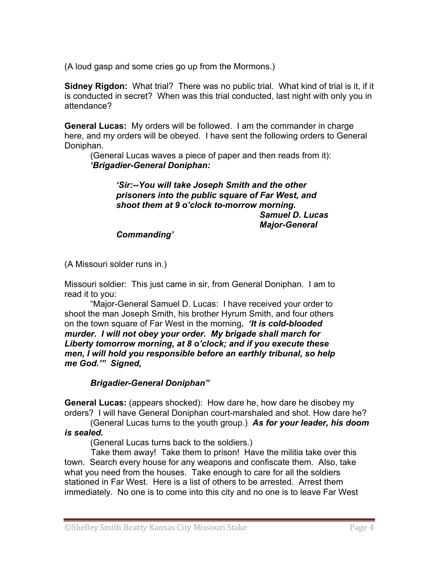(A loud gasp and some cries go up from the Mormons.)

**Sidney Rigdon:** What trial? There was no public trial. What kind of trial is it, if it is conducted in secret? When was this trial conducted, last night with only you in attendance?

**General Lucas:** My orders will be followed. I am the commander in charge here, and my orders will be obeyed. I have sent the following orders to General Doniphan.

(General Lucas waves a piece of paper and then reads from it): *'Brigadier-General Doniphan:*

### *'Sir:--You will take Joseph Smith and the other prisoners into the public square of Far West, and shoot them at 9 o'clock to-morrow morning. Samuel D. Lucas Major-General*

*Commanding'*

(A Missouri solder runs in.)

Missouri soldier: This just came in sir, from General Doniphan. I am to read it to you:

"Major-General Samuel D. Lucas: I have received your order to shoot the man Joseph Smith, his brother Hyrum Smith, and four others on the town square of Far West in the morning**.** *'It is cold-blooded murder. I will not obey your order. My brigade shall march for Liberty tomorrow morning, at 8 o'clock; and if you execute these men, I will hold you responsible before an earthly tribunal, so help me God.'" Signed,* 

*Brigadier-General Doniphan"*

**General Lucas:** (appears shocked): How dare he, how dare he disobey my orders? I will have General Doniphan court-marshaled and shot. How dare he?

(General Lucas turns to the youth group.) *As for your leader, his doom is sealed.*

(General Lucas turns back to the soldiers.)

 Take them away! Take them to prison! Have the militia take over this town. Search every house for any weapons and confiscate them. Also, take what you need from the houses. Take enough to care for all the soldiers stationed in Far West. Here is a list of others to be arrested. Arrest them immediately. No one is to come into this city and no one is to leave Far West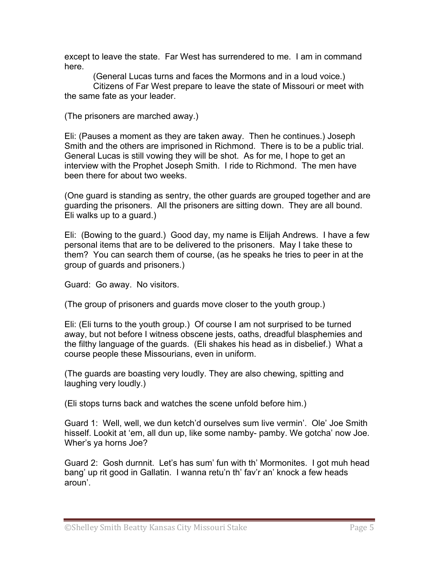except to leave the state. Far West has surrendered to me. I am in command here.

 (General Lucas turns and faces the Mormons and in a loud voice.) Citizens of Far West prepare to leave the state of Missouri or meet with the same fate as your leader.

(The prisoners are marched away.)

Eli: (Pauses a moment as they are taken away. Then he continues.) Joseph Smith and the others are imprisoned in Richmond. There is to be a public trial. General Lucas is still vowing they will be shot. As for me, I hope to get an interview with the Prophet Joseph Smith. I ride to Richmond. The men have been there for about two weeks.

(One guard is standing as sentry, the other guards are grouped together and are guarding the prisoners. All the prisoners are sitting down. They are all bound. Eli walks up to a guard.)

Eli: (Bowing to the guard.) Good day, my name is Elijah Andrews. I have a few personal items that are to be delivered to the prisoners. May I take these to them? You can search them of course, (as he speaks he tries to peer in at the group of guards and prisoners.)

Guard: Go away. No visitors.

(The group of prisoners and guards move closer to the youth group.)

Eli: (Eli turns to the youth group.) Of course I am not surprised to be turned away, but not before I witness obscene jests, oaths, dreadful blasphemies and the filthy language of the guards. (Eli shakes his head as in disbelief.) What a course people these Missourians, even in uniform.

(The guards are boasting very loudly. They are also chewing, spitting and laughing very loudly.)

(Eli stops turns back and watches the scene unfold before him.)

Guard 1: Well, well, we dun ketch'd ourselves sum live vermin'. Ole' Joe Smith hisself. Lookit at 'em, all dun up, like some namby- pamby. We gotcha' now Joe. Wher's ya horns Joe?

Guard 2: Gosh durnnit. Let's has sum' fun with th' Mormonites. I got muh head bang' up rit good in Gallatin. I wanna retu'n th' fav'r an' knock a few heads aroun'.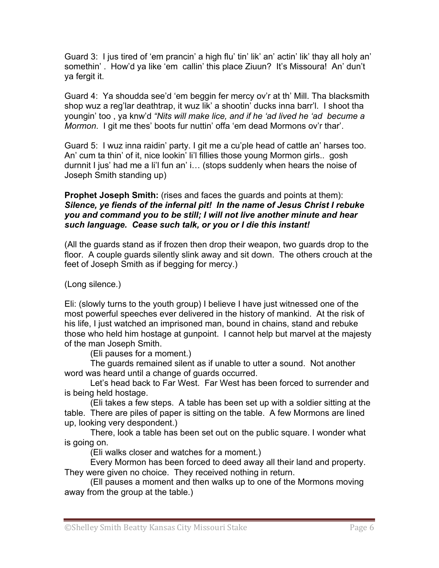Guard 3: I jus tired of 'em prancin' a high flu' tin' lik' an' actin' lik' thay all holy an' somethin' . How'd ya like 'em callin' this place Ziuun? It's Missoura! An' dun't ya fergit it.

Guard 4: Ya shoudda see'd 'em beggin fer mercy ov'r at th' Mill. Tha blacksmith shop wuz a reg'lar deathtrap, it wuz lik' a shootin' ducks inna barr'l. I shoot tha youngin' too , ya knw'd *"Nits will make lice, and if he 'ad lived he 'ad becume a Mormon*. I git me thes' boots fur nuttin' offa 'em dead Mormons ov'r thar'.

Guard 5: I wuz inna raidin' party. I git me a cu'ple head of cattle an' harses too. An' cum ta thin' of it, nice lookin' li'l fillies those young Mormon girls.. gosh durnnit I jus' had me a li'l fun an' i… (stops suddenly when hears the noise of Joseph Smith standing up)

# **Prophet Joseph Smith:** (rises and faces the guards and points at them): *Silence, ye fiends of the infernal pit! In the name of Jesus Christ I rebuke you and command you to be still; I will not live another minute and hear such language. Cease such talk, or you or I die this instant!*

(All the guards stand as if frozen then drop their weapon, two guards drop to the floor. A couple guards silently slink away and sit down. The others crouch at the feet of Joseph Smith as if begging for mercy.)

(Long silence.)

Eli: (slowly turns to the youth group) I believe I have just witnessed one of the most powerful speeches ever delivered in the history of mankind. At the risk of his life, I just watched an imprisoned man, bound in chains, stand and rebuke those who held him hostage at gunpoint. I cannot help but marvel at the majesty of the man Joseph Smith.

(Eli pauses for a moment.)

The guards remained silent as if unable to utter a sound. Not another word was heard until a change of guards occurred.

Let's head back to Far West. Far West has been forced to surrender and is being held hostage.

(Eli takes a few steps. A table has been set up with a soldier sitting at the table. There are piles of paper is sitting on the table. A few Mormons are lined up, looking very despondent.)

There, look a table has been set out on the public square. I wonder what is going on.

(Eli walks closer and watches for a moment.)

Every Mormon has been forced to deed away all their land and property. They were given no choice. They received nothing in return.

(Ell pauses a moment and then walks up to one of the Mormons moving away from the group at the table.)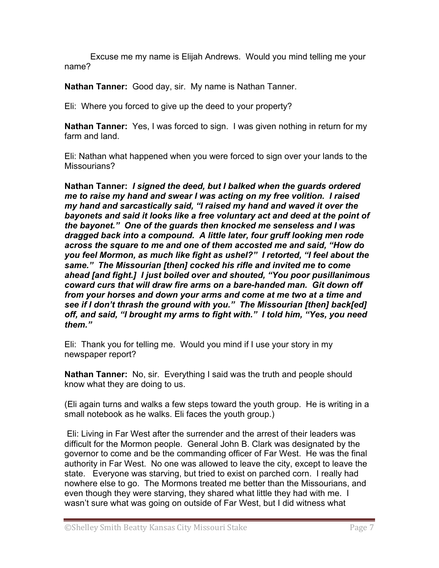Excuse me my name is Elijah Andrews. Would you mind telling me your name?

**Nathan Tanner:** Good day, sir. My name is Nathan Tanner.

Eli: Where you forced to give up the deed to your property?

**Nathan Tanner:** Yes, I was forced to sign. I was given nothing in return for my farm and land.

Eli: Nathan what happened when you were forced to sign over your lands to the Missourians?

**Nathan Tanner:** *I signed the deed, but I balked when the guards ordered me to raise my hand and swear I was acting on my free volition. I raised my hand and sarcastically said, "I raised my hand and waved it over the bayonets and said it looks like a free voluntary act and deed at the point of the bayonet." One of the guards then knocked me senseless and I was dragged back into a compound. A little later, four gruff looking men rode across the square to me and one of them accosted me and said, "How do you feel Mormon, as much like fight as ushel?" I retorted, "I feel about the same." The Missourian [then] cocked his rifle and invited me to come ahead [and fight.] I just boiled over and shouted, "You poor pusillanimous coward curs that will draw fire arms on a bare-handed man. Git down off from your horses and down your arms and come at me two at a time and see if I don't thrash the ground with you." The Missourian [then] back[ed] off, and said, "I brought my arms to fight with." I told him, "Yes, you need them."*

Eli: Thank you for telling me. Would you mind if I use your story in my newspaper report?

**Nathan Tanner:** No, sir. Everything I said was the truth and people should know what they are doing to us.

(Eli again turns and walks a few steps toward the youth group. He is writing in a small notebook as he walks. Eli faces the youth group.)

 Eli: Living in Far West after the surrender and the arrest of their leaders was difficult for the Mormon people. General John B. Clark was designated by the governor to come and be the commanding officer of Far West. He was the final authority in Far West. No one was allowed to leave the city, except to leave the state. Everyone was starving, but tried to exist on parched corn. I really had nowhere else to go. The Mormons treated me better than the Missourians, and even though they were starving, they shared what little they had with me. I wasn't sure what was going on outside of Far West, but I did witness what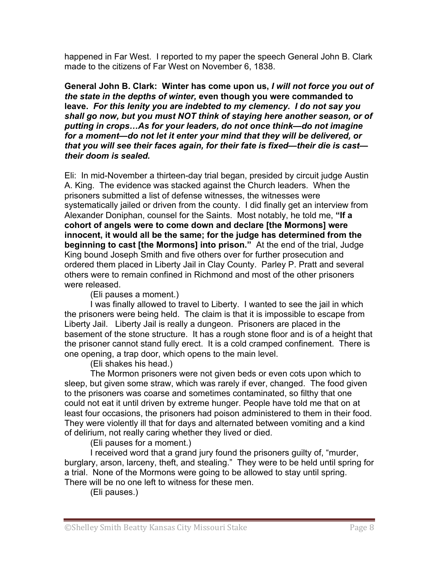happened in Far West. I reported to my paper the speech General John B. Clark made to the citizens of Far West on November 6, 1838.

**General John B. Clark: Winter has come upon us,** *I will not force you out of the state in the depths of winter,* **even though you were commanded to leave.** *For this lenity you are indebted to my clemency. I do not say you shall go now, but you must NOT think of staying here another season, or of putting in crops…As for your leaders, do not once think—do not imagine for a moment—do not let it enter your mind that they will be delivered, or that you will see their faces again, for their fate is fixed—their die is cast their doom is sealed.*

Eli: In mid-November a thirteen-day trial began, presided by circuit judge Austin A. King. The evidence was stacked against the Church leaders. When the prisoners submitted a list of defense witnesses, the witnesses were systematically jailed or driven from the county. I did finally get an interview from Alexander Doniphan, counsel for the Saints. Most notably, he told me, **"If a cohort of angels were to come down and declare [the Mormons] were innocent, it would all be the same; for the judge has determined from the beginning to cast [the Mormons] into prison."** At the end of the trial, Judge King bound Joseph Smith and five others over for further prosecution and ordered them placed in Liberty Jail in Clay County. Parley P. Pratt and several others were to remain confined in Richmond and most of the other prisoners were released.

# (Eli pauses a moment.)

I was finally allowed to travel to Liberty. I wanted to see the jail in which the prisoners were being held. The claim is that it is impossible to escape from Liberty Jail. Liberty Jail is really a dungeon. Prisoners are placed in the basement of the stone structure. It has a rough stone floor and is of a height that the prisoner cannot stand fully erect. It is a cold cramped confinement. There is one opening, a trap door, which opens to the main level.

# (Eli shakes his head.)

The Mormon prisoners were not given beds or even cots upon which to sleep, but given some straw, which was rarely if ever, changed. The food given to the prisoners was coarse and sometimes contaminated, so filthy that one could not eat it until driven by extreme hunger. People have told me that on at least four occasions, the prisoners had poison administered to them in their food. They were violently ill that for days and alternated between vomiting and a kind of delirium, not really caring whether they lived or died.

(Eli pauses for a moment.)

I received word that a grand jury found the prisoners guilty of, "murder, burglary, arson, larceny, theft, and stealing." They were to be held until spring for a trial. None of the Mormons were going to be allowed to stay until spring. There will be no one left to witness for these men.

(Eli pauses.)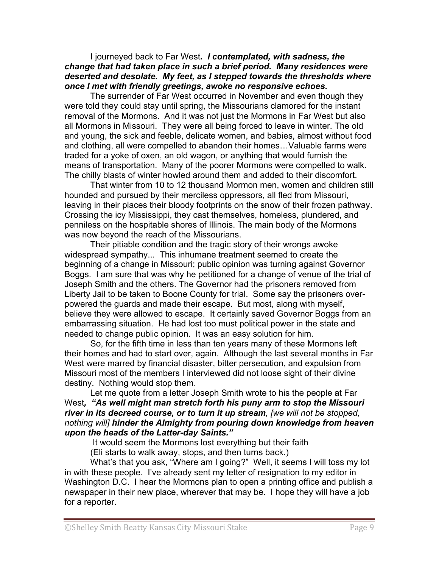### I journeyed back to Far West*. I contemplated, with sadness, the change that had taken place in such a brief period. Many residences were deserted and desolate. My feet, as I stepped towards the thresholds where once I met with friendly greetings, awoke no responsive echoes.*

The surrender of Far West occurred in November and even though they were told they could stay until spring, the Missourians clamored for the instant removal of the Mormons. And it was not just the Mormons in Far West but also all Mormons in Missouri. They were all being forced to leave in winter. The old and young, the sick and feeble, delicate women, and babies, almost without food and clothing, all were compelled to abandon their homes…Valuable farms were traded for a yoke of oxen, an old wagon, or anything that would furnish the means of transportation. Many of the poorer Mormons were compelled to walk. The chilly blasts of winter howled around them and added to their discomfort.

That winter from 10 to 12 thousand Mormon men, women and children still hounded and pursued by their merciless oppressors, all fled from Missouri, leaving in their places their bloody footprints on the snow of their frozen pathway. Crossing the icy Mississippi, they cast themselves, homeless, plundered, and penniless on the hospitable shores of Illinois. The main body of the Mormons was now beyond the reach of the Missourians.

Their pitiable condition and the tragic story of their wrongs awoke widespread sympathy... This inhumane treatment seemed to create the beginning of a change in Missouri; public opinion was turning against Governor Boggs. I am sure that was why he petitioned for a change of venue of the trial of Joseph Smith and the others. The Governor had the prisoners removed from Liberty Jail to be taken to Boone County for trial. Some say the prisoners overpowered the guards and made their escape. But most, along with myself, believe they were allowed to escape. It certainly saved Governor Boggs from an embarrassing situation. He had lost too must political power in the state and needed to change public opinion. It was an easy solution for him.

So, for the fifth time in less than ten years many of these Mormons left their homes and had to start over, again. Although the last several months in Far West were marred by financial disaster, bitter persecution, and expulsion from Missouri most of the members I interviewed did not loose sight of their divine destiny. Nothing would stop them.

Let me quote from a letter Joseph Smith wrote to his the people at Far West*, "As well might man stretch forth his puny arm to stop the Missouri river in its decreed course, or to turn it up stream, [we will not be stopped, nothing will] hinder the Almighty from pouring down knowledge from heaven upon the heads of the Latter-day Saints."* 

It would seem the Mormons lost everything but their faith

(Eli starts to walk away, stops, and then turns back.)

What's that you ask, "Where am I going?" Well, it seems I will toss my lot in with these people. I've already sent my letter of resignation to my editor in Washington D.C. I hear the Mormons plan to open a printing office and publish a newspaper in their new place, wherever that may be. I hope they will have a job for a reporter.